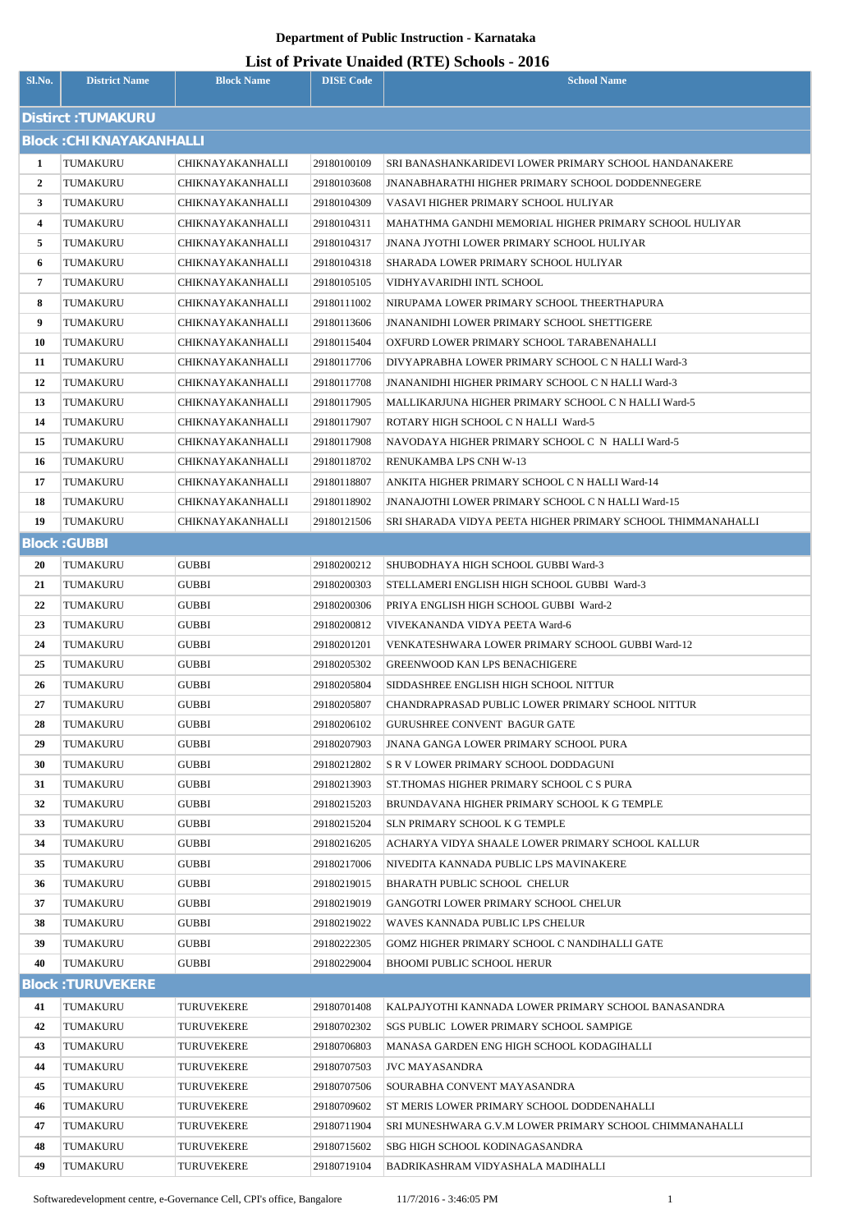| Sl.No.           | <b>District Name</b>           | <b>Block Name</b>            | <b>DISE Code</b>           | $\frac{1}{2}$<br><b>School Name</b>                                                     |
|------------------|--------------------------------|------------------------------|----------------------------|-----------------------------------------------------------------------------------------|
|                  | Distirct: TUMAKURU             |                              |                            |                                                                                         |
|                  | <b>Block: CHIKNAYAKANHALLI</b> |                              |                            |                                                                                         |
| 1                | TUMAKURU                       | CHIKNAYAKANHALLI             | 29180100109                | SRI BANASHANKARIDEVI LOWER PRIMARY SCHOOL HANDANAKERE                                   |
| $\boldsymbol{2}$ | TUMAKURU                       | CHIKNAYAKANHALLI             | 29180103608                | <b>JNANABHARATHI HIGHER PRIMARY SCHOOL DODDENNEGERE</b>                                 |
| 3                | TUMAKURU                       | CHIKNAYAKANHALLI             | 29180104309                | VASAVI HIGHER PRIMARY SCHOOL HULIYAR                                                    |
| 4                | TUMAKURU                       | CHIKNAYAKANHALLI             | 29180104311                | MAHATHMA GANDHI MEMORIAL HIGHER PRIMARY SCHOOL HULIYAR                                  |
| 5                | TUMAKURU                       | CHIKNAYAKANHALLI             | 29180104317                | JNANA JYOTHI LOWER PRIMARY SCHOOL HULIYAR                                               |
| 6                | TUMAKURU                       | CHIKNAYAKANHALLI             | 29180104318                | SHARADA LOWER PRIMARY SCHOOL HULIYAR                                                    |
| 7                | TUMAKURU                       | CHIKNAYAKANHALLI             | 29180105105                | VIDHYAVARIDHI INTL SCHOOL                                                               |
| 8                | TUMAKURU                       | CHIKNAYAKANHALLI             | 29180111002                | NIRUPAMA LOWER PRIMARY SCHOOL THEERTHAPURA                                              |
| 9                | TUMAKURU                       | CHIKNAYAKANHALLI             | 29180113606                | <b>JNANANIDHI LOWER PRIMARY SCHOOL SHETTIGERE</b>                                       |
| 10               | TUMAKURU                       | CHIKNAYAKANHALLI             | 29180115404                | OXFURD LOWER PRIMARY SCHOOL TARABENAHALLI                                               |
| 11               | TUMAKURU                       | CHIKNAYAKANHALLI             | 29180117706                | DIVYAPRABHA LOWER PRIMARY SCHOOL C N HALLI Ward-3                                       |
| 12               | TUMAKURU                       | CHIKNAYAKANHALLI             | 29180117708                | JNANANIDHI HIGHER PRIMARY SCHOOL C N HALLI Ward-3                                       |
| 13               | TUMAKURU                       | CHIKNAYAKANHALLI             | 29180117905                | MALLIKARJUNA HIGHER PRIMARY SCHOOL C N HALLI Ward-5                                     |
| 14               | TUMAKURU                       | CHIKNAYAKANHALLI             | 29180117907                | ROTARY HIGH SCHOOL C N HALLI Ward-5                                                     |
| 15               | TUMAKURU                       | CHIKNAYAKANHALLI             | 29180117908                | NAVODAYA HIGHER PRIMARY SCHOOL C N HALLI Ward-5                                         |
| 16               | TUMAKURU                       | CHIKNAYAKANHALLI             | 29180118702                | RENUKAMBA LPS CNH W-13                                                                  |
| 17               | TUMAKURU                       | CHIKNAYAKANHALLI             | 29180118807                | ANKITA HIGHER PRIMARY SCHOOL C N HALLI Ward-14                                          |
| 18               | TUMAKURU                       | CHIKNAYAKANHALLI             | 29180118902                | <b>JNANAJOTHI LOWER PRIMARY SCHOOL C N HALLI Ward-15</b>                                |
| 19               | TUMAKURU                       | CHIKNAYAKANHALLI             | 29180121506                | SRI SHARADA VIDYA PEETA HIGHER PRIMARY SCHOOL THIMMANAHALLI                             |
|                  | <b>Block: GUBBI</b>            |                              |                            |                                                                                         |
| 20               | TUMAKURU                       | <b>GUBBI</b>                 | 29180200212                | SHUBODHAYA HIGH SCHOOL GUBBI Ward-3                                                     |
| 21               | TUMAKURU                       | <b>GUBBI</b>                 | 29180200303                | STELLAMERI ENGLISH HIGH SCHOOL GUBBI Ward-3                                             |
| 22               | TUMAKURU                       | <b>GUBBI</b>                 | 29180200306                | PRIYA ENGLISH HIGH SCHOOL GUBBI Ward-2                                                  |
| 23               | TUMAKURU                       | <b>GUBBI</b>                 | 29180200812                | VIVEKANANDA VIDYA PEETA Ward-6                                                          |
| 24               | TUMAKURU                       | <b>GUBBI</b>                 | 29180201201                | VENKATESHWARA LOWER PRIMARY SCHOOL GUBBI Ward-12                                        |
| 25               | TUMAKURU                       | <b>GUBBI</b>                 | 29180205302                | <b>GREENWOOD KAN LPS BENACHIGERE</b>                                                    |
| 26               | TUMAKURU                       | <b>GUBBI</b>                 | 29180205804                | SIDDASHREE ENGLISH HIGH SCHOOL NITTUR                                                   |
| 27               | TUMAKURU                       | <b>GUBBI</b>                 | 29180205807                | CHANDRAPRASAD PUBLIC LOWER PRIMARY SCHOOL NITTUR                                        |
| 28               | TUMAKURU                       | <b>GUBBI</b>                 | 29180206102                | GURUSHREE CONVENT BAGUR GATE                                                            |
| 29               | TUMAKURU                       | <b>GUBBI</b>                 | 29180207903                | <b>JNANA GANGA LOWER PRIMARY SCHOOL PURA</b>                                            |
| 30<br>31         | TUMAKURU<br>TUMAKURU           | <b>GUBBI</b><br><b>GUBBI</b> | 29180212802<br>29180213903 | <b>S R V LOWER PRIMARY SCHOOL DODDAGUNI</b><br>ST.THOMAS HIGHER PRIMARY SCHOOL C S PURA |
| 32               | TUMAKURU                       | <b>GUBBI</b>                 | 29180215203                | BRUNDAVANA HIGHER PRIMARY SCHOOL K G TEMPLE                                             |
| 33               | TUMAKURU                       | <b>GUBBI</b>                 | 29180215204                | SLN PRIMARY SCHOOL K G TEMPLE                                                           |
| 34               | TUMAKURU                       | <b>GUBBI</b>                 | 29180216205                | ACHARYA VIDYA SHAALE LOWER PRIMARY SCHOOL KALLUR                                        |
| 35               | TUMAKURU                       | <b>GUBBI</b>                 | 29180217006                | NIVEDITA KANNADA PUBLIC LPS MAVINAKERE                                                  |
| 36               | TUMAKURU                       | <b>GUBBI</b>                 | 29180219015                | BHARATH PUBLIC SCHOOL CHELUR                                                            |
| 37               | TUMAKURU                       | <b>GUBBI</b>                 | 29180219019                | GANGOTRI LOWER PRIMARY SCHOOL CHELUR                                                    |
| 38               | TUMAKURU                       | <b>GUBBI</b>                 | 29180219022                | WAVES KANNADA PUBLIC LPS CHELUR                                                         |
| 39               | TUMAKURU                       | <b>GUBBI</b>                 | 29180222305                | GOMZ HIGHER PRIMARY SCHOOL C NANDIHALLI GATE                                            |
| 40               | TUMAKURU                       | <b>GUBBI</b>                 | 29180229004                | BHOOMI PUBLIC SCHOOL HERUR                                                              |
|                  | <b>Block: TURUVEKERE</b>       |                              |                            |                                                                                         |
| 41               | TUMAKURU                       | TURUVEKERE                   | 29180701408                | KALPAJYOTHI KANNADA LOWER PRIMARY SCHOOL BANASANDRA                                     |
| 42               | TUMAKURU                       | TURUVEKERE                   | 29180702302                | <b>SGS PUBLIC LOWER PRIMARY SCHOOL SAMPIGE</b>                                          |
| 43               | TUMAKURU                       | TURUVEKERE                   | 29180706803                | MANASA GARDEN ENG HIGH SCHOOL KODAGIHALLI                                               |
| 44               | TUMAKURU                       | TURUVEKERE                   | 29180707503                | <b>JVC MAYASANDRA</b>                                                                   |
| 45               | TUMAKURU                       | TURUVEKERE                   | 29180707506                | SOURABHA CONVENT MAYASANDRA                                                             |
| 46               | TUMAKURU                       | TURUVEKERE                   | 29180709602                | ST MERIS LOWER PRIMARY SCHOOL DODDENAHALLI                                              |
| 47               | TUMAKURU                       | TURUVEKERE                   | 29180711904                | SRI MUNESHWARA G.V.M LOWER PRIMARY SCHOOL CHIMMANAHALLI                                 |
| 48               | TUMAKURU                       | <b>TURUVEKERE</b>            | 29180715602                | SBG HIGH SCHOOL KODINAGASANDRA                                                          |
| 49               | TUMAKURU                       | TURUVEKERE                   | 29180719104                | BADRIKASHRAM VIDYASHALA MADIHALLI                                                       |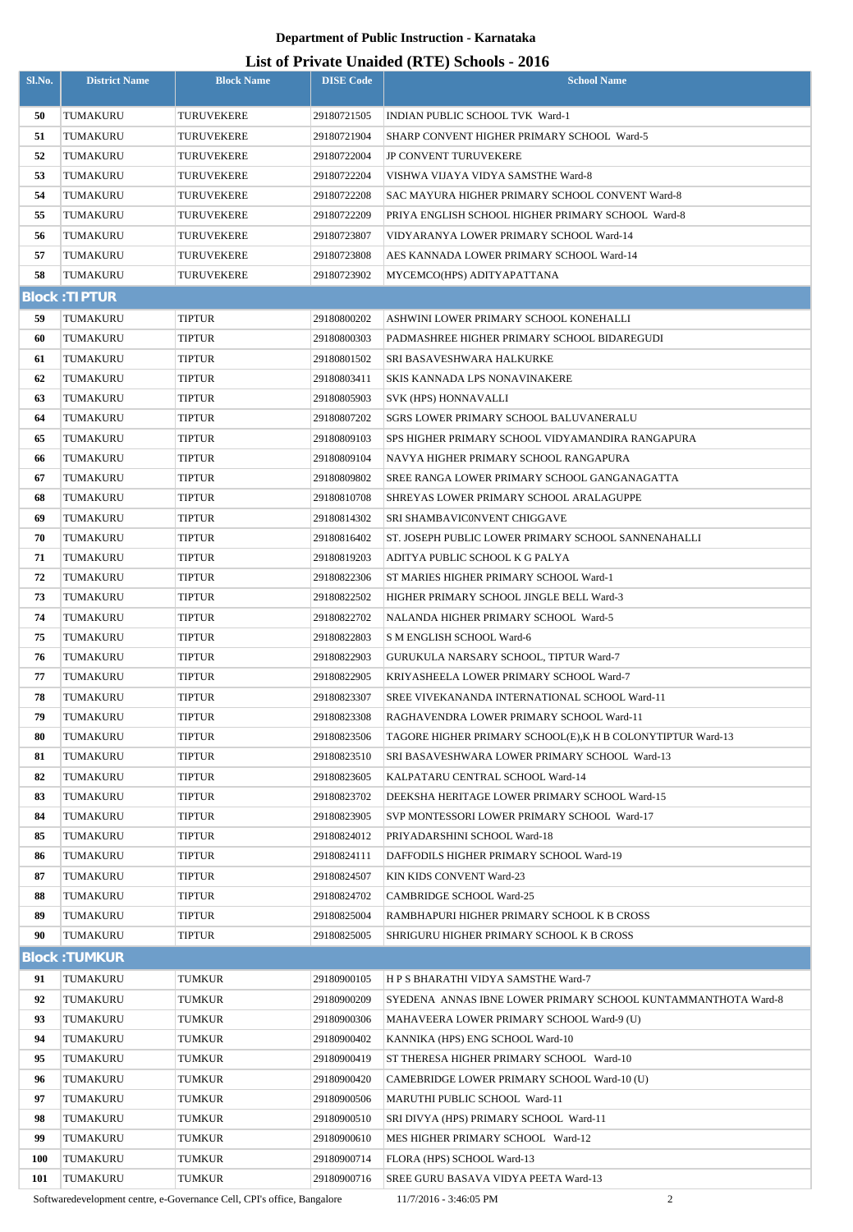## **List of Private Unaided (RTE) Schools - 2016**

| Sl.No.     | <b>District Name</b> | <b>Block Name</b> | <b>DISE Code</b> | $\mu$ <sub>15</sub> of T <sub>11</sub> , and Onatucu (IVIII) behoofs $\mu$ <sub>016</sub><br><b>School Name</b> |
|------------|----------------------|-------------------|------------------|-----------------------------------------------------------------------------------------------------------------|
| 50         | TUMAKURU             | TURUVEKERE        | 29180721505      | INDIAN PUBLIC SCHOOL TVK Ward-1                                                                                 |
| 51         | TUMAKURU             | TURUVEKERE        | 29180721904      | SHARP CONVENT HIGHER PRIMARY SCHOOL Ward-5                                                                      |
| 52         | TUMAKURU             | TURUVEKERE        | 29180722004      | <b>JP CONVENT TURUVEKERE</b>                                                                                    |
| 53         | TUMAKURU             | TURUVEKERE        | 29180722204      | VISHWA VIJAYA VIDYA SAMSTHE Ward-8                                                                              |
| 54         | TUMAKURU             | <b>TURUVEKERE</b> | 29180722208      | SAC MAYURA HIGHER PRIMARY SCHOOL CONVENT Ward-8                                                                 |
| 55         | TUMAKURU             | TURUVEKERE        | 29180722209      | PRIYA ENGLISH SCHOOL HIGHER PRIMARY SCHOOL Ward-8                                                               |
| 56         | TUMAKURU             | TURUVEKERE        | 29180723807      | VIDYARANYA LOWER PRIMARY SCHOOL Ward-14                                                                         |
| 57         | TUMAKURU             | TURUVEKERE        | 29180723808      | AES KANNADA LOWER PRIMARY SCHOOL Ward-14                                                                        |
| 58         | TUMAKURU             | TURUVEKERE        | 29180723902      | MYCEMCO(HPS) ADITYAPATTANA                                                                                      |
|            | <b>Block: TIPTUR</b> |                   |                  |                                                                                                                 |
| 59         | TUMAKURU             | TIPTUR            | 29180800202      | ASHWINI LOWER PRIMARY SCHOOL KONEHALLI                                                                          |
| 60         | TUMAKURU             | TIPTUR            | 29180800303      | PADMASHREE HIGHER PRIMARY SCHOOL BIDAREGUDI                                                                     |
| 61         | TUMAKURU             | TIPTUR            | 29180801502      | SRI BASAVESHWARA HALKURKE                                                                                       |
| 62         | TUMAKURU             | TIPTUR            | 29180803411      | SKIS KANNADA LPS NONAVINAKERE                                                                                   |
| 63         | TUMAKURU             | TIPTUR            | 29180805903      | SVK (HPS) HONNAVALLI                                                                                            |
| 64         | TUMAKURU             | TIPTUR            | 29180807202      | <b>SGRS LOWER PRIMARY SCHOOL BALUVANERALU</b>                                                                   |
| 65         | TUMAKURU             | TIPTUR            | 29180809103      | SPS HIGHER PRIMARY SCHOOL VIDYAMANDIRA RANGAPURA                                                                |
| 66         | TUMAKURU             | TIPTUR            | 29180809104      | NAVYA HIGHER PRIMARY SCHOOL RANGAPURA                                                                           |
| 67         | TUMAKURU             | TIPTUR            | 29180809802      | SREE RANGA LOWER PRIMARY SCHOOL GANGANAGATTA                                                                    |
| 68         | TUMAKURU             | TIPTUR            | 29180810708      | SHREYAS LOWER PRIMARY SCHOOL ARALAGUPPE                                                                         |
| 69         | TUMAKURU             | TIPTUR            | 29180814302      | SRI SHAMBAVICONVENT CHIGGAVE                                                                                    |
| 70         | TUMAKURU             | <b>TIPTUR</b>     | 29180816402      | ST. JOSEPH PUBLIC LOWER PRIMARY SCHOOL SANNENAHALLI                                                             |
| 71         | TUMAKURU             | <b>TIPTUR</b>     | 29180819203      | ADITYA PUBLIC SCHOOL K G PALYA                                                                                  |
| 72         | TUMAKURU             | TIPTUR            | 29180822306      | ST MARIES HIGHER PRIMARY SCHOOL Ward-1                                                                          |
| 73         | TUMAKURU             | TIPTUR            | 29180822502      | HIGHER PRIMARY SCHOOL JINGLE BELL Ward-3                                                                        |
| 74         | TUMAKURU             | TIPTUR            | 29180822702      | NALANDA HIGHER PRIMARY SCHOOL Ward-5                                                                            |
| 75         | TUMAKURU             | TIPTUR            | 29180822803      | S M ENGLISH SCHOOL Ward-6                                                                                       |
| 76         | TUMAKURU             | <b>TIPTUR</b>     | 29180822903      | GURUKULA NARSARY SCHOOL, TIPTUR Ward-7                                                                          |
| 77         | TUMAKURU             | TIPTUR            | 29180822905      | KRIYASHEELA LOWER PRIMARY SCHOOL Ward-7                                                                         |
| 78         | TUMAKURU             | TIPTUR            | 29180823307      | SREE VIVEKANANDA INTERNATIONAL SCHOOL Ward-11                                                                   |
| 79         | TUMAKURU             | <b>TIPTUR</b>     | 29180823308      | RAGHAVENDRA LOWER PRIMARY SCHOOL Ward-11                                                                        |
| 80         | TUMAKURU             | TIPTUR            | 29180823506      | TAGORE HIGHER PRIMARY SCHOOL(E), K H B COLONYTIPTUR Ward-13                                                     |
| 81         | TUMAKURU             | TIPTUR            | 29180823510      | SRI BASAVESHWARA LOWER PRIMARY SCHOOL Ward-13                                                                   |
| 82         | TUMAKURU             | TIPTUR            | 29180823605      | KALPATARU CENTRAL SCHOOL Ward-14                                                                                |
| 83         | TUMAKURU             | <b>TIPTUR</b>     | 29180823702      | DEEKSHA HERITAGE LOWER PRIMARY SCHOOL Ward-15                                                                   |
| 84         | TUMAKURU             | TIPTUR            | 29180823905      | SVP MONTESSORI LOWER PRIMARY SCHOOL Ward-17                                                                     |
| 85         | TUMAKURU             | TIPTUR            | 29180824012      | PRIYADARSHINI SCHOOL Ward-18                                                                                    |
| 86         | TUMAKURU             | TIPTUR            | 29180824111      | DAFFODILS HIGHER PRIMARY SCHOOL Ward-19                                                                         |
| 87         | TUMAKURU             | TIPTUR            | 29180824507      | KIN KIDS CONVENT Ward-23                                                                                        |
| 88         | TUMAKURU             | TIPTUR            | 29180824702      | <b>CAMBRIDGE SCHOOL Ward-25</b>                                                                                 |
| 89         | TUMAKURU             | TIPTUR            | 29180825004      | RAMBHAPURI HIGHER PRIMARY SCHOOL K B CROSS                                                                      |
| 90         | TUMAKURU             | TIPTUR            | 29180825005      | SHRIGURU HIGHER PRIMARY SCHOOL K B CROSS                                                                        |
|            | <b>Block: TUMKUR</b> |                   |                  |                                                                                                                 |
| 91         | TUMAKURU             | TUMKUR            | 29180900105      | H P S BHARATHI VIDYA SAMSTHE Ward-7                                                                             |
| 92         | TUMAKURU             | <b>TUMKUR</b>     | 29180900209      | SYEDENA ANNAS IBNE LOWER PRIMARY SCHOOL KUNTAMMANTHOTA Ward-8                                                   |
| 93         | TUMAKURU             | <b>TUMKUR</b>     | 29180900306      | MAHAVEERA LOWER PRIMARY SCHOOL Ward-9 (U)                                                                       |
| 94         | TUMAKURU             | TUMKUR            | 29180900402      | KANNIKA (HPS) ENG SCHOOL Ward-10                                                                                |
| 95         | TUMAKURU             | TUMKUR            | 29180900419      | ST THERESA HIGHER PRIMARY SCHOOL Ward-10                                                                        |
| 96         | TUMAKURU             | TUMKUR            | 29180900420      | CAMEBRIDGE LOWER PRIMARY SCHOOL Ward-10 (U)                                                                     |
| 97         | TUMAKURU             | TUMKUR            | 29180900506      | MARUTHI PUBLIC SCHOOL Ward-11                                                                                   |
| 98         | TUMAKURU             | TUMKUR            | 29180900510      | SRI DIVYA (HPS) PRIMARY SCHOOL Ward-11                                                                          |
| 99         | TUMAKURU             | TUMKUR            | 29180900610      | MES HIGHER PRIMARY SCHOOL Ward-12                                                                               |
| <b>100</b> | TUMAKURU             | TUMKUR            | 29180900714      | FLORA (HPS) SCHOOL Ward-13                                                                                      |
| 101        | TUMAKURU             | TUMKUR            | 29180900716      | SREE GURU BASAVA VIDYA PEETA Ward-13                                                                            |

Softwaredevelopment centre, e-Governance Cell, CPI's office, Bangalore 11/7/2016 - 3:46:05 PM 2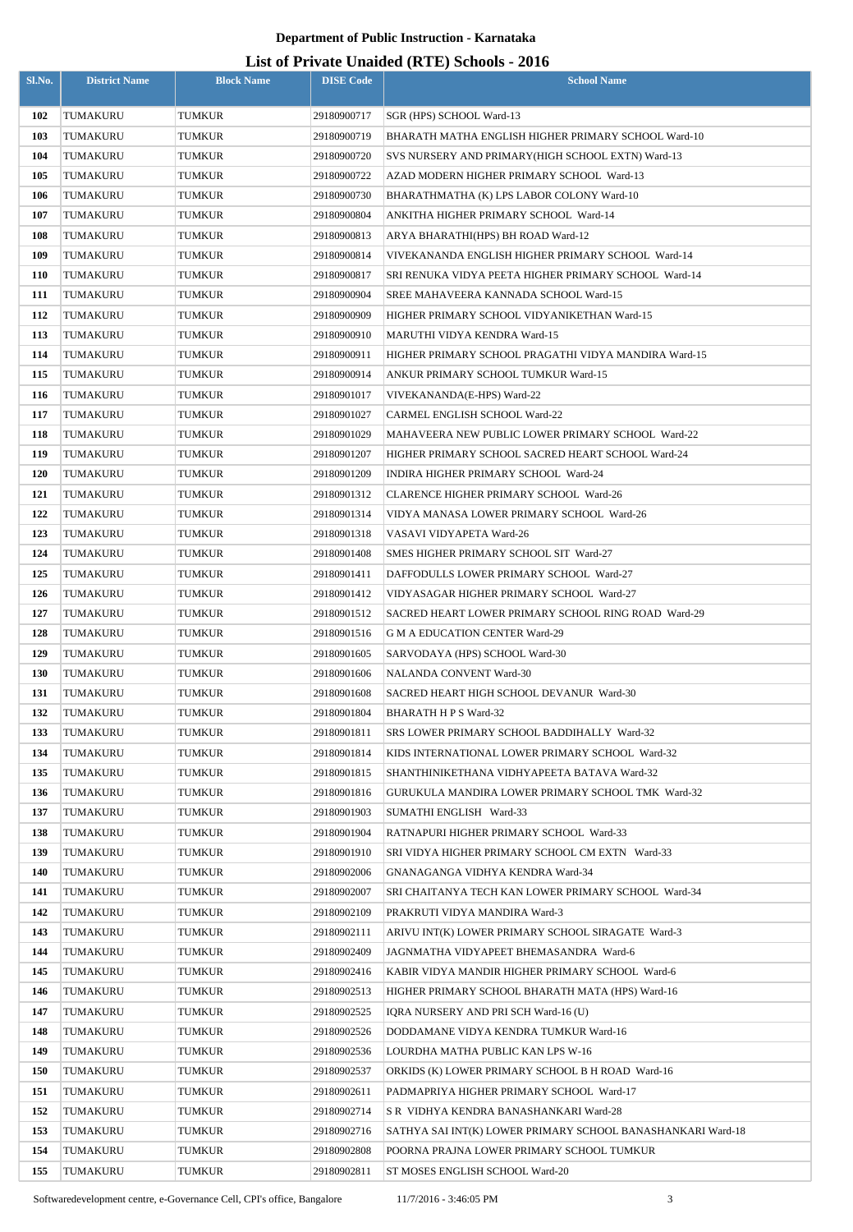|            |                      |                   |                  | List of Frivate Unaffect (KFL) Schools - 2010               |
|------------|----------------------|-------------------|------------------|-------------------------------------------------------------|
| Sl.No.     | <b>District Name</b> | <b>Block Name</b> | <b>DISE</b> Code | <b>School Name</b>                                          |
|            |                      |                   |                  |                                                             |
| 102        | TUMAKURU             | TUMKUR            | 29180900717      | SGR (HPS) SCHOOL Ward-13                                    |
| 103        | TUMAKURU             | TUMKUR            | 29180900719      | BHARATH MATHA ENGLISH HIGHER PRIMARY SCHOOL Ward-10         |
| 104        | TUMAKURU             | TUMKUR            | 29180900720      | SVS NURSERY AND PRIMARY (HIGH SCHOOL EXTN) Ward-13          |
| 105        | TUMAKURU             | TUMKUR            | 29180900722      | AZAD MODERN HIGHER PRIMARY SCHOOL Ward-13                   |
| 106        | TUMAKURU             | TUMKUR            | 29180900730      | BHARATHMATHA (K) LPS LABOR COLONY Ward-10                   |
| 107        | TUMAKURU             | TUMKUR            | 29180900804      | ANKITHA HIGHER PRIMARY SCHOOL Ward-14                       |
| <b>108</b> | TUMAKURU             | TUMKUR            | 29180900813      | ARYA BHARATHI(HPS) BH ROAD Ward-12                          |
| 109        | TUMAKURU             | TUMKUR            | 29180900814      | VIVEKANANDA ENGLISH HIGHER PRIMARY SCHOOL Ward-14           |
| <b>110</b> | TUMAKURU             | TUMKUR            | 29180900817      | SRI RENUKA VIDYA PEETA HIGHER PRIMARY SCHOOL Ward-14        |
| 111        | TUMAKURU             | TUMKUR            | 29180900904      | SREE MAHAVEERA KANNADA SCHOOL Ward-15                       |
| 112        | TUMAKURU             | TUMKUR            | 29180900909      | HIGHER PRIMARY SCHOOL VIDYANIKETHAN Ward-15                 |
| 113        | TUMAKURU             | TUMKUR            | 29180900910      | MARUTHI VIDYA KENDRA Ward-15                                |
| 114        | TUMAKURU             | TUMKUR            | 29180900911      | HIGHER PRIMARY SCHOOL PRAGATHI VIDYA MANDIRA Ward-15        |
| 115        | TUMAKURU             | TUMKUR            | 29180900914      | ANKUR PRIMARY SCHOOL TUMKUR Ward-15                         |
| 116        | TUMAKURU             | TUMKUR            | 29180901017      | VIVEKANANDA(E-HPS) Ward-22                                  |
| 117        | TUMAKURU             | TUMKUR            | 29180901027      | <b>CARMEL ENGLISH SCHOOL Ward-22</b>                        |
| 118        | TUMAKURU             | TUMKUR            | 29180901029      | MAHAVEERA NEW PUBLIC LOWER PRIMARY SCHOOL Ward-22           |
| 119        | TUMAKURU             | TUMKUR            | 29180901207      | HIGHER PRIMARY SCHOOL SACRED HEART SCHOOL Ward-24           |
| <b>120</b> | TUMAKURU             | TUMKUR            | 29180901209      | INDIRA HIGHER PRIMARY SCHOOL Ward-24                        |
| 121        | TUMAKURU             | TUMKUR            | 29180901312      | <b>CLARENCE HIGHER PRIMARY SCHOOL Ward-26</b>               |
| 122        | TUMAKURU             | TUMKUR            | 29180901314      | VIDYA MANASA LOWER PRIMARY SCHOOL Ward-26                   |
| 123        | TUMAKURU             | TUMKUR            | 29180901318      | VASAVI VIDYAPETA Ward-26                                    |
| 124        |                      |                   | 29180901408      | SMES HIGHER PRIMARY SCHOOL SIT Ward-27                      |
|            | TUMAKURU             | TUMKUR            |                  |                                                             |
| 125        | TUMAKURU             | TUMKUR            | 29180901411      | DAFFODULLS LOWER PRIMARY SCHOOL Ward-27                     |
| 126        | TUMAKURU             | TUMKUR            | 29180901412      | VIDYASAGAR HIGHER PRIMARY SCHOOL Ward-27                    |
| 127        | TUMAKURU             | TUMKUR            | 29180901512      | SACRED HEART LOWER PRIMARY SCHOOL RING ROAD Ward-29         |
| 128        | TUMAKURU             | <b>TUMKUR</b>     | 29180901516      | <b>G M A EDUCATION CENTER Ward-29</b>                       |
| 129        | TUMAKURU             | <b>TUMKUR</b>     | 29180901605      | SARVODAYA (HPS) SCHOOL Ward-30                              |
| <b>130</b> | TUMAKURU             | TUMKUR            | 29180901606      | NALANDA CONVENT Ward-30                                     |
| 131        | TUMAKURU             | TUMKUR            | 29180901608      | SACRED HEART HIGH SCHOOL DEVANUR Ward-30                    |
| 132        | TUMAKURU             | TUMKUR            | 29180901804      | BHARATH H P S Ward-32                                       |
| 133        | TUMAKURU             | TUMKUR            | 29180901811      | <b>SRS LOWER PRIMARY SCHOOL BADDIHALLY Ward-32</b>          |
| 134        | TUMAKURU             | TUMKUR            | 29180901814      | KIDS INTERNATIONAL LOWER PRIMARY SCHOOL Ward-32             |
| 135        | TUMAKURU             | TUMKUR            | 29180901815      | SHANTHINIKETHANA VIDHYAPEETA BATAVA Ward-32                 |
| 136        | TUMAKURU             | TUMKUR            | 29180901816      | <b>GURUKULA MANDIRA LOWER PRIMARY SCHOOL TMK Ward-32</b>    |
| 137        | TUMAKURU             | TUMKUR            | 29180901903      | SUMATHI ENGLISH Ward-33                                     |
| 138        | TUMAKURU             | TUMKUR            | 29180901904      | RATNAPURI HIGHER PRIMARY SCHOOL Ward-33                     |
| 139        | TUMAKURU             | TUMKUR            | 29180901910      | SRI VIDYA HIGHER PRIMARY SCHOOL CM EXTN Ward-33             |
| 140        | TUMAKURU             | TUMKUR            | 29180902006      | GNANAGANGA VIDHYA KENDRA Ward-34                            |
| 141        | TUMAKURU             | TUMKUR            | 29180902007      | SRI CHAITANYA TECH KAN LOWER PRIMARY SCHOOL Ward-34         |
| 142        | TUMAKURU             | TUMKUR            | 29180902109      | PRAKRUTI VIDYA MANDIRA Ward-3                               |
| 143        | TUMAKURU             | TUMKUR            | 29180902111      | ARIVU INT(K) LOWER PRIMARY SCHOOL SIRAGATE Ward-3           |
| 144        | TUMAKURU             | TUMKUR            | 29180902409      | JAGNMATHA VIDYAPEET BHEMASANDRA Ward-6                      |
| 145        | TUMAKURU             | TUMKUR            | 29180902416      | KABIR VIDYA MANDIR HIGHER PRIMARY SCHOOL Ward-6             |
| 146        | TUMAKURU             | TUMKUR            | 29180902513      | HIGHER PRIMARY SCHOOL BHARATH MATA (HPS) Ward-16            |
| 147        | TUMAKURU             | TUMKUR            | 29180902525      | IQRA NURSERY AND PRI SCH Ward-16 (U)                        |
| 148        | TUMAKURU             | TUMKUR            | 29180902526      | DODDAMANE VIDYA KENDRA TUMKUR Ward-16                       |
| 149        | TUMAKURU             | TUMKUR            | 29180902536      | LOURDHA MATHA PUBLIC KAN LPS W-16                           |
| <b>150</b> | TUMAKURU             | TUMKUR            | 29180902537      | ORKIDS (K) LOWER PRIMARY SCHOOL B H ROAD Ward-16            |
|            |                      |                   |                  |                                                             |
| 151        | TUMAKURU             | TUMKUR            | 29180902611      | PADMAPRIYA HIGHER PRIMARY SCHOOL Ward-17                    |
| 152        | TUMAKURU             | TUMKUR            | 29180902714      | S R VIDHYA KENDRA BANASHANKARI Ward-28                      |
| 153        | TUMAKURU             | TUMKUR            | 29180902716      | SATHYA SAI INT(K) LOWER PRIMARY SCHOOL BANASHANKARI Ward-18 |
| 154        | TUMAKURU             | TUMKUR            | 29180902808      | POORNA PRAJNA LOWER PRIMARY SCHOOL TUMKUR                   |
| 155        | TUMAKURU             | TUMKUR            | 29180902811      | ST MOSES ENGLISH SCHOOL Ward-20                             |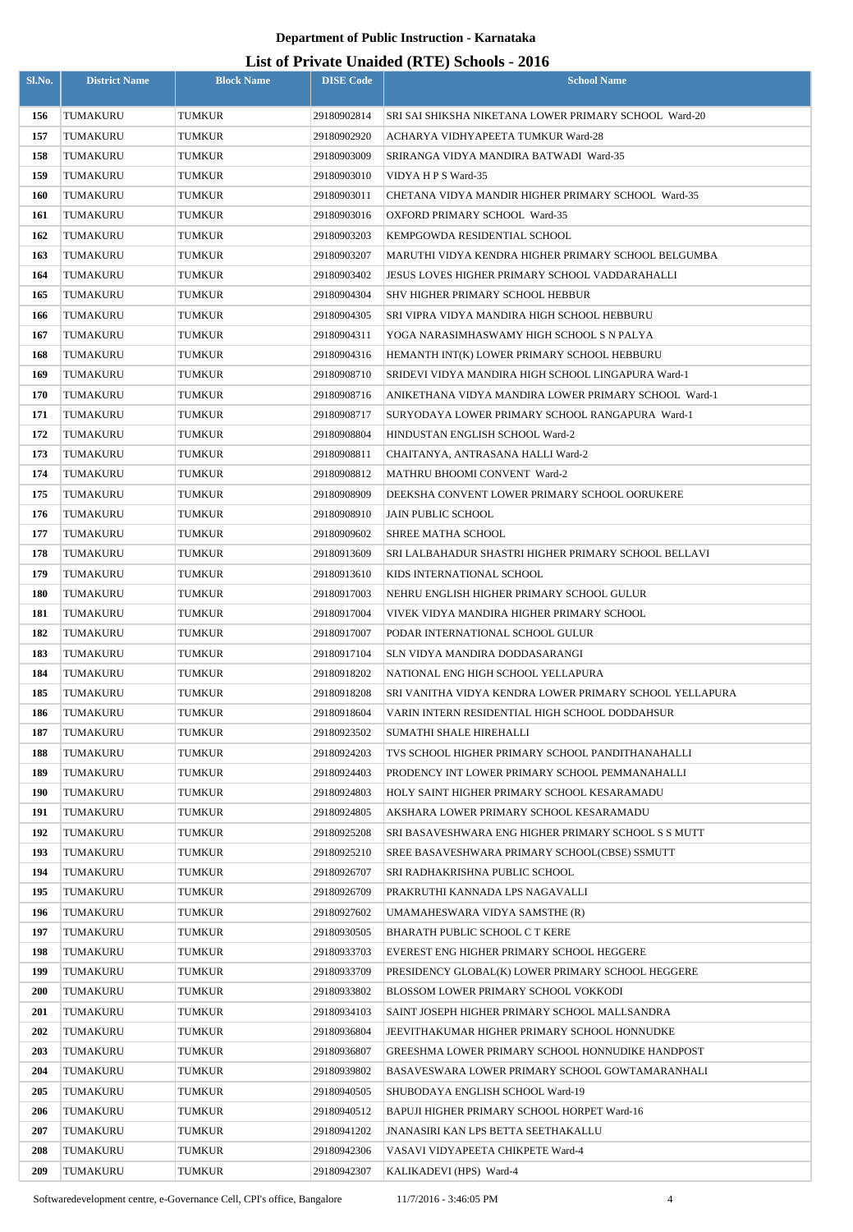| Sl.No.     | <b>District Name</b> | <b>Block Name</b> | <b>DISE</b> Code           | List of Frivan: Unanica (KFE) Schools - 2010<br><b>School Name</b>                                  |
|------------|----------------------|-------------------|----------------------------|-----------------------------------------------------------------------------------------------------|
|            |                      |                   |                            |                                                                                                     |
| 156        | TUMAKURU             | TUMKUR            | 29180902814                | SRI SAI SHIKSHA NIKETANA LOWER PRIMARY SCHOOL Ward-20                                               |
| 157        | TUMAKURU             | TUMKUR            | 29180902920                | ACHARYA VIDHYAPEETA TUMKUR Ward-28                                                                  |
| 158        | TUMAKURU             | TUMKUR            | 29180903009                | SRIRANGA VIDYA MANDIRA BATWADI Ward-35                                                              |
| 159        | TUMAKURU             | TUMKUR            | 29180903010                | VIDYA H P S Ward-35                                                                                 |
| 160        | TUMAKURU             | TUMKUR            | 29180903011                | CHETANA VIDYA MANDIR HIGHER PRIMARY SCHOOL Ward-35                                                  |
| 161        | TUMAKURU             | TUMKUR            | 29180903016                | OXFORD PRIMARY SCHOOL Ward-35                                                                       |
| 162        | TUMAKURU             | TUMKUR            | 29180903203                | KEMPGOWDA RESIDENTIAL SCHOOL                                                                        |
| 163        | TUMAKURU             | TUMKUR            | 29180903207                | MARUTHI VIDYA KENDRA HIGHER PRIMARY SCHOOL BELGUMBA                                                 |
| 164        | TUMAKURU             | TUMKUR            | 29180903402                | <b>JESUS LOVES HIGHER PRIMARY SCHOOL VADDARAHALLI</b>                                               |
| 165        | TUMAKURU             | TUMKUR            | 29180904304                | SHV HIGHER PRIMARY SCHOOL HEBBUR                                                                    |
| 166        | TUMAKURU             | TUMKUR            | 29180904305                | SRI VIPRA VIDYA MANDIRA HIGH SCHOOL HEBBURU                                                         |
| 167        | TUMAKURU             | TUMKUR            | 29180904311                | YOGA NARASIMHASWAMY HIGH SCHOOL S N PALYA                                                           |
| 168        | TUMAKURU             | TUMKUR            | 29180904316                | HEMANTH INT(K) LOWER PRIMARY SCHOOL HEBBURU                                                         |
| 169        | TUMAKURU             | TUMKUR            | 29180908710                | SRIDEVI VIDYA MANDIRA HIGH SCHOOL LINGAPURA Ward-1                                                  |
| 170        | TUMAKURU             | TUMKUR            | 29180908716                | ANIKETHANA VIDYA MANDIRA LOWER PRIMARY SCHOOL Ward-1                                                |
| 171        | TUMAKURU             | TUMKUR            | 29180908717                | SURYODAYA LOWER PRIMARY SCHOOL RANGAPURA Ward-1                                                     |
| 172<br>173 | TUMAKURU             | TUMKUR            | 29180908804<br>29180908811 | HINDUSTAN ENGLISH SCHOOL Ward-2                                                                     |
| 174        | TUMAKURU<br>TUMAKURU | TUMKUR            | 29180908812                | CHAITANYA, ANTRASANA HALLI Ward-2<br>MATHRU BHOOMI CONVENT Ward-2                                   |
| 175        | TUMAKURU             | TUMKUR<br>TUMKUR  | 29180908909                | DEEKSHA CONVENT LOWER PRIMARY SCHOOL OORUKERE                                                       |
| 176        | TUMAKURU             | TUMKUR            | 29180908910                | <b>JAIN PUBLIC SCHOOL</b>                                                                           |
| 177        | TUMAKURU             | TUMKUR            | 29180909602                | SHREE MATHA SCHOOL                                                                                  |
| 178        | TUMAKURU             | TUMKUR            | 29180913609                | SRI LALBAHADUR SHASTRI HIGHER PRIMARY SCHOOL BELLAVI                                                |
| 179        | TUMAKURU             | TUMKUR            | 29180913610                | KIDS INTERNATIONAL SCHOOL                                                                           |
| 180        | TUMAKURU             | TUMKUR            | 29180917003                | NEHRU ENGLISH HIGHER PRIMARY SCHOOL GULUR                                                           |
| 181        | TUMAKURU             | TUMKUR            | 29180917004                | VIVEK VIDYA MANDIRA HIGHER PRIMARY SCHOOL                                                           |
| 182        | TUMAKURU             | TUMKUR            | 29180917007                | PODAR INTERNATIONAL SCHOOL GULUR                                                                    |
| 183        | TUMAKURU             | <b>TUMKUR</b>     | 29180917104                | <b>SLN VIDYA MANDIRA DODDASARANGI</b>                                                               |
| 184        | TUMAKURU             | TUMKUR            | 29180918202                | NATIONAL ENG HIGH SCHOOL YELLAPURA                                                                  |
| 185        | TUMAKURU             | <b>TUMKUR</b>     | 29180918208                | SRI VANITHA VIDYA KENDRA LOWER PRIMARY SCHOOL YELLAPURA                                             |
| 186        | TUMAKURU             | TUMKUR            | 29180918604                | VARIN INTERN RESIDENTIAL HIGH SCHOOL DODDAHSUR                                                      |
| 187        | TUMAKURU             | TUMKUR            | 29180923502                | SUMATHI SHALE HIREHALLI                                                                             |
| 188        | TUMAKURU             | TUMKUR            | 29180924203                | TVS SCHOOL HIGHER PRIMARY SCHOOL PANDITHANAHALLI                                                    |
| 189        | TUMAKURU             | TUMKUR            | 29180924403                | PRODENCY INT LOWER PRIMARY SCHOOL PEMMANAHALLI                                                      |
| 190        | TUMAKURU             | TUMKUR            | 29180924803                | HOLY SAINT HIGHER PRIMARY SCHOOL KESARAMADU                                                         |
| 191        | TUMAKURU             | TUMKUR            | 29180924805                | AKSHARA LOWER PRIMARY SCHOOL KESARAMADU                                                             |
| 192        | TUMAKURU             | <b>TUMKUR</b>     | 29180925208                | SRI BASAVESHWARA ENG HIGHER PRIMARY SCHOOL S S MUTT                                                 |
| 193        | TUMAKURU             | TUMKUR            | 29180925210                | SREE BASAVESHWARA PRIMARY SCHOOL(CBSE) SSMUTT                                                       |
| 194        | TUMAKURU             | TUMKUR            | 29180926707                | SRI RADHAKRISHNA PUBLIC SCHOOL                                                                      |
| 195        | TUMAKURU             | TUMKUR            | 29180926709                | PRAKRUTHI KANNADA LPS NAGAVALLI                                                                     |
| 196        | TUMAKURU             | TUMKUR            | 29180927602                | UMAMAHESWARA VIDYA SAMSTHE (R)                                                                      |
| 197        | TUMAKURU             | TUMKUR            | 29180930505                | BHARATH PUBLIC SCHOOL C T KERE                                                                      |
| 198        | TUMAKURU             | TUMKUR            | 29180933703                | EVEREST ENG HIGHER PRIMARY SCHOOL HEGGERE                                                           |
| 199        | TUMAKURU             | TUMKUR            | 29180933709                | PRESIDENCY GLOBAL(K) LOWER PRIMARY SCHOOL HEGGERE                                                   |
| 200        | TUMAKURU             | TUMKUR            | 29180933802                | BLOSSOM LOWER PRIMARY SCHOOL VOKKODI                                                                |
| 201        | TUMAKURU             | TUMKUR            | 29180934103                | SAINT JOSEPH HIGHER PRIMARY SCHOOL MALLSANDRA                                                       |
| 202        | TUMAKURU             | TUMKUR            | 29180936804                | JEEVITHAKUMAR HIGHER PRIMARY SCHOOL HONNUDKE                                                        |
| 203<br>204 | TUMAKURU<br>TUMAKURU | TUMKUR<br>TUMKUR  | 29180936807<br>29180939802 | GREESHMA LOWER PRIMARY SCHOOL HONNUDIKE HANDPOST<br>BASAVESWARA LOWER PRIMARY SCHOOL GOWTAMARANHALI |
| 205        | TUMAKURU             | <b>TUMKUR</b>     | 29180940505                | SHUBODAYA ENGLISH SCHOOL Ward-19                                                                    |
| 206        | TUMAKURU             | TUMKUR            | 29180940512                | BAPUJI HIGHER PRIMARY SCHOOL HORPET Ward-16                                                         |
| 207        | TUMAKURU             | TUMKUR            | 29180941202                | <b>JNANASIRI KAN LPS BETTA SEETHAKALLU</b>                                                          |
| 208        | TUMAKURU             | TUMKUR            | 29180942306                | VASAVI VIDYAPEETA CHIKPETE Ward-4                                                                   |
| 209        | TUMAKURU             | TUMKUR            | 29180942307                | KALIKADEVI (HPS) Ward-4                                                                             |